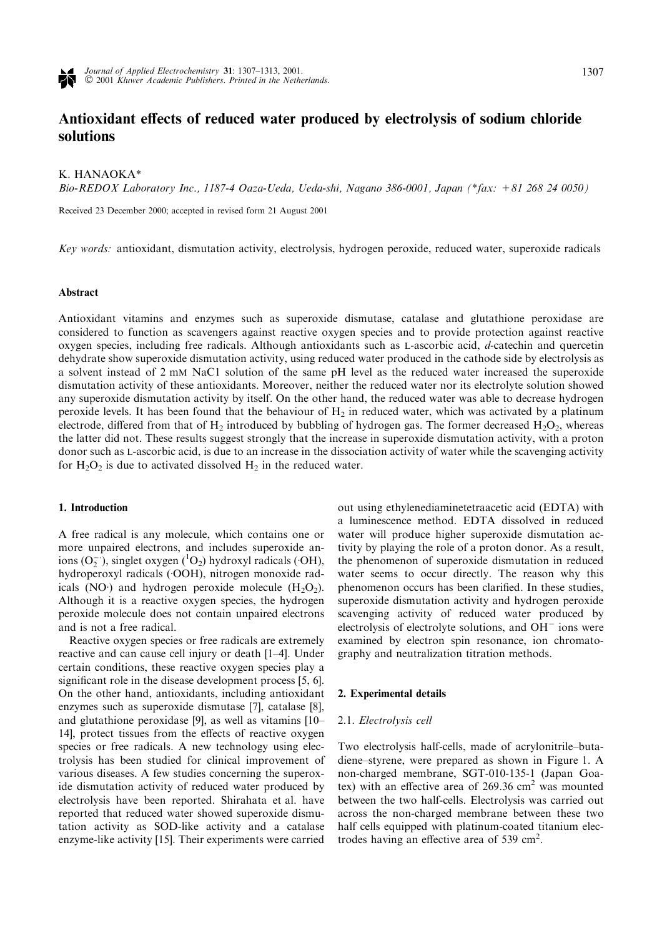

# Antioxidant effects of reduced water produced by electrolysis of sodium chloride solutions

### K. HANAOKA\*

Bio-REDOX Laboratory Inc., 1187-4 Oaza-Ueda, Ueda-shi, Nagano 386-0001, Japan (\*fax: +81 268 24 0050)

Received 23 December 2000; accepted in revised form 21 August 2001

Key words: antioxidant, dismutation activity, electrolysis, hydrogen peroxide, reduced water, superoxide radicals

#### Abstract

Antioxidant vitamins and enzymes such as superoxide dismutase, catalase and glutathione peroxidase are considered to function as scavengers against reactive oxygen species and to provide protection against reactive oxygen species, including free radicals. Although antioxidants such as L-ascorbic acid, d-catechin and quercetin dehydrate show superoxide dismutation activity, using reduced water produced in the cathode side by electrolysis as a solvent instead of 2 mM NaC1 solution of the same pH level as the reduced water increased the superoxide dismutation activity of these antioxidants. Moreover, neither the reduced water nor its electrolyte solution showed any superoxide dismutation activity by itself. On the other hand, the reduced water was able to decrease hydrogen peroxide levels. It has been found that the behaviour of  $H_2$  in reduced water, which was activated by a platinum electrode, differed from that of  $H_2$  introduced by bubbling of hydrogen gas. The former decreased  $H_2O_2$ , whereas the latter did not. These results suggest strongly that the increase in superoxide dismutation activity, with a proton donor such as L-ascorbic acid, is due to an increase in the dissociation activity of water while the scavenging activity for  $H_2O_2$  is due to activated dissolved  $H_2$  in the reduced water.

### 1. Introduction

A free radical is any molecule, which contains one or more unpaired electrons, and includes superoxide anions  $(O_2^{-1})$ , singlet oxygen  $(^1O_2)$  hydroxyl radicals  $(OH)$ , hydroperoxyl radicals (OOH), nitrogen monoxide radicals (NO $\cdot$ ) and hydrogen peroxide molecule (H<sub>2</sub>O<sub>2</sub>). Although it is a reactive oxygen species, the hydrogen peroxide molecule does not contain unpaired electrons and is not a free radical.

Reactive oxygen species or free radicals are extremely reactive and can cause cell injury or death [1–4]. Under certain conditions, these reactive oxygen species play a significant role in the disease development process [5, 6]. On the other hand, antioxidants, including antioxidant enzymes such as superoxide dismutase [7], catalase [8], and glutathione peroxidase [9], as well as vitamins [10– 14], protect tissues from the effects of reactive oxygen species or free radicals. A new technology using electrolysis has been studied for clinical improvement of various diseases. A few studies concerning the superoxide dismutation activity of reduced water produced by electrolysis have been reported. Shirahata et al. have reported that reduced water showed superoxide dismutation activity as SOD-like activity and a catalase enzyme-like activity [15]. Their experiments were carried

out using ethylenediaminetetraacetic acid (EDTA) with a luminescence method. EDTA dissolved in reduced water will produce higher superoxide dismutation activity by playing the role of a proton donor. As a result, the phenomenon of superoxide dismutation in reduced water seems to occur directly. The reason why this phenomenon occurs has been clarified. In these studies, superoxide dismutation activity and hydrogen peroxide scavenging activity of reduced water produced by electrolysis of electrolyte solutions, and  $OH^-$  ions were examined by electron spin resonance, ion chromatography and neutralization titration methods.

#### 2. Experimental details

#### 2.1. Electrolysis cell

Two electrolysis half-cells, made of acrylonitrile–butadiene–styrene, were prepared as shown in Figure 1. A non-charged membrane, SGT-010-135-1 (Japan Goatex) with an effective area of  $269.36 \text{ cm}^2$  was mounted between the two half-cells. Electrolysis was carried out across the non-charged membrane between these two half cells equipped with platinum-coated titanium electrodes having an effective area of 539 cm<sup>2</sup>.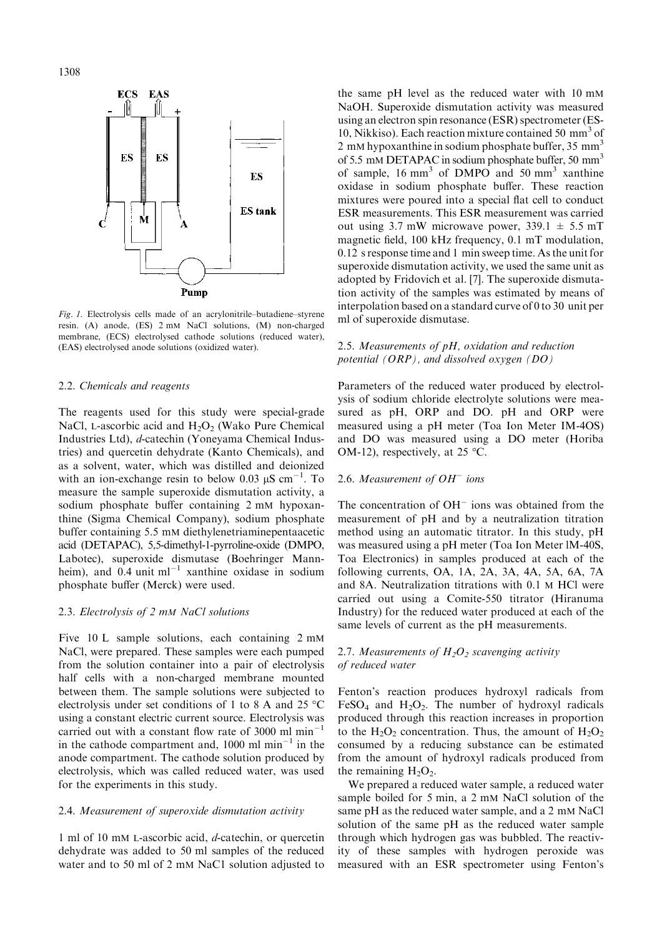1308



Fig. 1. Electrolysis cells made of an acrylonitrile–butadiene–styrene resin. (A) anode, (ES) 2 mM NaCl solutions, (M) non-charged membrane, (ECS) electrolysed cathode solutions (reduced water), (EAS) electrolysed anode solutions (oxidized water).

#### 2.2. Chemicals and reagents

The reagents used for this study were special-grade NaCl, L-ascorbic acid and  $H_2O_2$  (Wako Pure Chemical Industries Ltd), d-catechin (Yoneyama Chemical Industries) and quercetin dehydrate (Kanto Chemicals), and as a solvent, water, which was distilled and deionized with an ion-exchange resin to below 0.03  $\mu$ S cm<sup>-1</sup>. To measure the sample superoxide dismutation activity, a sodium phosphate buffer containing 2 mM hypoxanthine (Sigma Chemical Company), sodium phosphate buffer containing 5.5 mM diethylenetriaminepentaacetic acid (DETAPAC), 5,5-dimethyl-1-pyrroline-oxide (DMPO, Labotec), superoxide dismutase (Boehringer Mannheim), and 0.4 unit  $ml^{-1}$  xanthine oxidase in sodium phosphate buffer (Merck) were used.

### 2.3. Electrolysis of 2 mM NaCl solutions

Five 10 L sample solutions, each containing 2 mM NaCl, were prepared. These samples were each pumped from the solution container into a pair of electrolysis half cells with a non-charged membrane mounted between them. The sample solutions were subjected to electrolysis under set conditions of 1 to 8 A and 25  $^{\circ}$ C using a constant electric current source. Electrolysis was carried out with a constant flow rate of 3000 ml  $min^{-1}$ in the cathode compartment and, 1000 ml  $min^{-1}$  in the anode compartment. The cathode solution produced by electrolysis, which was called reduced water, was used for the experiments in this study.

# 2.4. Measurement of superoxide dismutation activity

1 ml of 10 mM L-ascorbic acid, d-catechin, or quercetin dehydrate was added to 50 ml samples of the reduced water and to 50 ml of 2 mM NaC1 solution adjusted to the same pH level as the reduced water with 10 mM NaOH. Superoxide dismutation activity was measured using an electron spin resonance (ESR) spectrometer (ES-10, Nikkiso). Each reaction mixture contained 50 mm<sup>3</sup> of 2 mM hypoxanthine in sodium phosphate buffer,  $35 \text{ mm}^3$ of 5.5 mM DETAPAC in sodium phosphate buffer, 50 mm<sup>3</sup> of sample,  $16 \text{ mm}^3$  of DMPO and  $50 \text{ mm}^3$  xanthine oxidase in sodium phosphate buffer. These reaction mixtures were poured into a special flat cell to conduct ESR measurements. This ESR measurement was carried out using 3.7 mW microwave power,  $339.1 \pm 5.5$  mT magnetic field, 100 kHz frequency, 0.1 mT modulation, 0.12 s response time and 1 min sweep time. As the unit for superoxide dismutation activity, we used the same unit as adopted by Fridovich et al. [7]. The superoxide dismutation activity of the samples was estimated by means of interpolation based on a standard curve of 0 to 30 unit per ml of superoxide dismutase.

# 2.5. Measurements of pH, oxidation and reduction potential  $(ORP)$ , and dissolved oxygen  $(DO)$

Parameters of the reduced water produced by electrolysis of sodium chloride electrolyte solutions were measured as pH, ORP and DO. pH and ORP were measured using a pH meter (Toa Ion Meter IM-4OS) and DO was measured using a DO meter (Horiba OM-12), respectively, at 25  $\degree$ C.

### 2.6. Measurement of  $OH^-$  ions

The concentration of  $OH^-$  ions was obtained from the measurement of pH and by a neutralization titration method using an automatic titrator. In this study, pH was measured using a pH meter (Toa Ion Meter lM-40S, Toa Electronics) in samples produced at each of the following currents, OA, 1A, 2A, 3A, 4A, 5A, 6A, 7A and 8A. Neutralization titrations with 0.1 M HCl were carried out using a Comite-550 titrator (Hiranuma Industry) for the reduced water produced at each of the same levels of current as the pH measurements.

# 2.7. Measurements of  $H_2O_2$  scavenging activity of reduced water

Fenton's reaction produces hydroxyl radicals from FeSO<sub>4</sub> and H<sub>2</sub>O<sub>2</sub>. The number of hydroxyl radicals produced through this reaction increases in proportion to the  $H_2O_2$  concentration. Thus, the amount of  $H_2O_2$ consumed by a reducing substance can be estimated from the amount of hydroxyl radicals produced from the remaining  $H_2O_2$ .

We prepared a reduced water sample, a reduced water sample boiled for 5 min, a 2 mM NaCl solution of the same pH as the reduced water sample, and a 2 mM NaCl solution of the same pH as the reduced water sample through which hydrogen gas was bubbled. The reactivity of these samples with hydrogen peroxide was measured with an ESR spectrometer using Fenton's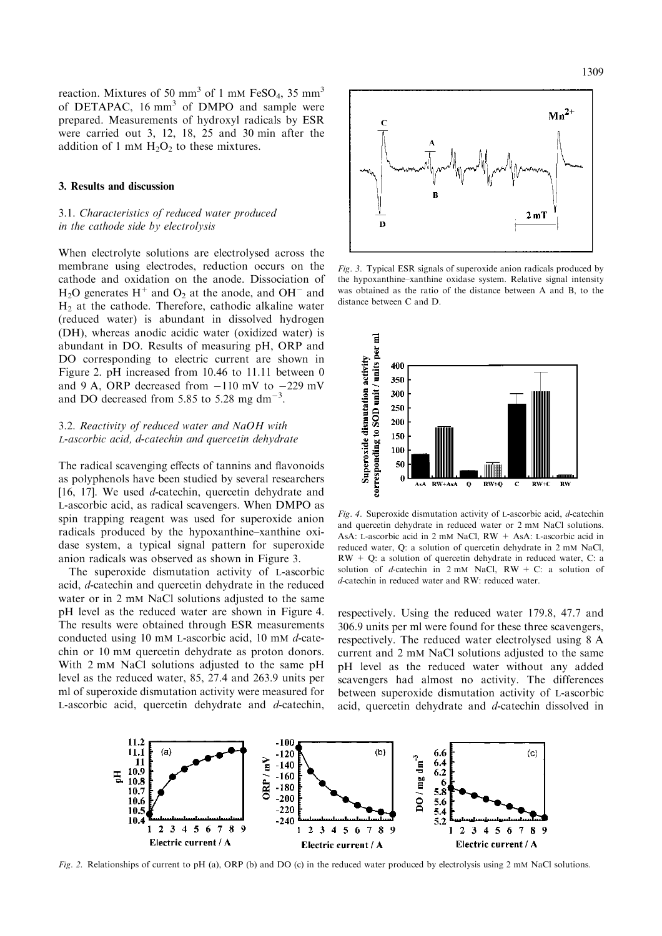reaction. Mixtures of 50 mm<sup>3</sup> of 1 mM FeSO<sub>4</sub>, 35 mm<sup>3</sup> of DETAPAC, 16 mm<sup>3</sup> of DMPO and sample were prepared. Measurements of hydroxyl radicals by ESR were carried out 3, 12, 18, 25 and 30 min after the addition of 1 mM  $H_2O_2$  to these mixtures.

### 3. Results and discussion

# 3.1. Characteristics of reduced water produced in the cathode side by electrolysis

When electrolyte solutions are electrolysed across the membrane using electrodes, reduction occurs on the cathode and oxidation on the anode. Dissociation of  $H_2O$  generates  $H^+$  and  $O_2$  at the anode, and  $OH^-$  and  $H<sub>2</sub>$  at the cathode. Therefore, cathodic alkaline water (reduced water) is abundant in dissolved hydrogen (DH), whereas anodic acidic water (oxidized water) is abundant in DO. Results of measuring pH, ORP and DO corresponding to electric current are shown in Figure 2. pH increased from 10.46 to 11.11 between 0 and 9 A, ORP decreased from  $-110$  mV to  $-229$  mV and DO decreased from 5.85 to 5.28 mg dm<sup>-3</sup>.

# 3.2. Reactivity of reduced water and NaOH with L-ascorbic acid, d-catechin and quercetin dehydrate

The radical scavenging effects of tannins and flavonoids as polyphenols have been studied by several researchers [16, 17]. We used *d*-catechin, quercetin dehydrate and L-ascorbic acid, as radical scavengers. When DMPO as spin trapping reagent was used for superoxide anion radicals produced by the hypoxanthine–xanthine oxidase system, a typical signal pattern for superoxide anion radicals was observed as shown in Figure 3.

The superoxide dismutation activity of L-ascorbic acid, d-catechin and quercetin dehydrate in the reduced water or in 2 mM NaCl solutions adjusted to the same pH level as the reduced water are shown in Figure 4. The results were obtained through ESR measurements conducted using 10 mM L-ascorbic acid, 10 mM d-catechin or 10 mM quercetin dehydrate as proton donors. With 2 mM NaCl solutions adjusted to the same pH level as the reduced water, 85, 27.4 and 263.9 units per ml of superoxide dismutation activity were measured for L-ascorbic acid, quercetin dehydrate and d-catechin,



Fig. 3. Typical ESR signals of superoxide anion radicals produced by the hypoxanthine–xanthine oxidase system. Relative signal intensity was obtained as the ratio of the distance between A and B, to the distance between C and D.



Fig. 4. Superoxide dismutation activity of L-ascorbic acid, d-catechin and quercetin dehydrate in reduced water or 2 mM NaCl solutions. AsA: L-ascorbic acid in 2 mM NaCl, RW + AsA: L-ascorbic acid in reduced water, Q: a solution of quercetin dehydrate in 2 mM NaCl,  $RW + Q$ : a solution of quercetin dehydrate in reduced water, C: a solution of d-catechin in  $2 \text{ mM }$  NaCl, RW + C: a solution of d-catechin in reduced water and RW: reduced water.

respectively. Using the reduced water 179.8, 47.7 and 306.9 units per ml were found for these three scavengers, respectively. The reduced water electrolysed using 8 A current and 2 mM NaCl solutions adjusted to the same pH level as the reduced water without any added scavengers had almost no activity. The differences between superoxide dismutation activity of L-ascorbic acid, quercetin dehydrate and d-catechin dissolved in



Fig. 2. Relationships of current to pH (a), ORP (b) and DO (c) in the reduced water produced by electrolysis using 2 mM NaCl solutions.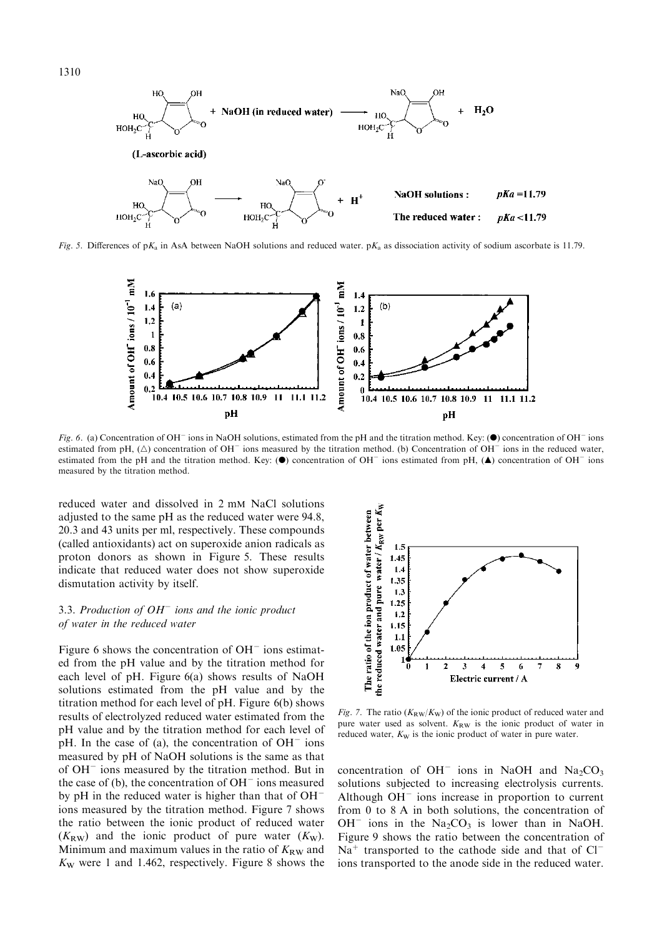

Fig. 5. Differences of pK<sub>a</sub> in AsA between NaOH solutions and reduced water. pK<sub>a</sub> as dissociation activity of sodium ascorbate is 11.79.



Fig. 6. (a) Concentration of OH<sup> $-$ </sup> ions in NaOH solutions, estimated from the pH and the titration method. Key: ( $\bullet$ ) concentration of OH $-$  ions estimated from pH,  $(\triangle)$  concentration of OH<sup>-</sup> ions measured by the titration method. (b) Concentration of OH<sup>-</sup> ions in the reduced water, estimated from the pH and the titration method. Key: ( $\bullet$ ) concentration of OH<sup>-</sup> ions estimated from pH, ( $\blacktriangle$ ) concentration of OH<sup>-</sup> ions measured by the titration method.

reduced water and dissolved in 2 mM NaCl solutions adjusted to the same pH as the reduced water were 94.8, 20.3 and 43 units per ml, respectively. These compounds (called antioxidants) act on superoxide anion radicals as proton donors as shown in Figure 5. These results indicate that reduced water does not show superoxide dismutation activity by itself.

### 3.3. Production of  $OH^-$  ions and the ionic product of water in the reduced water

Figure 6 shows the concentration of  $OH^-$  ions estimated from the pH value and by the titration method for each level of pH. Figure 6(a) shows results of NaOH solutions estimated from the pH value and by the titration method for each level of pH. Figure 6(b) shows results of electrolyzed reduced water estimated from the pH value and by the titration method for each level of pH. In the case of (a), the concentration of  $OH^-$  ions measured by pH of NaOH solutions is the same as that of  $OH^-$  ions measured by the titration method. But in the case of (b), the concentration of  $OH^-$  ions measured by pH in the reduced water is higher than that of OH ions measured by the titration method. Figure 7 shows the ratio between the ionic product of reduced water  $(K_{\text{RW}})$  and the ionic product of pure water  $(K_{\text{W}})$ . Minimum and maximum values in the ratio of  $K_{\rm RW}$  and  $K_W$  were 1 and 1.462, respectively. Figure 8 shows the



Fig. 7. The ratio  $(K_{RW}/K_W)$  of the ionic product of reduced water and pure water used as solvent.  $K_{RW}$  is the ionic product of water in reduced water,  $K_W$  is the ionic product of water in pure water.

concentration of  $OH^-$  ions in NaOH and Na<sub>2</sub>CO<sub>3</sub> solutions subjected to increasing electrolysis currents. Although  $OH^-$  ions increase in proportion to current from 0 to 8 A in both solutions, the concentration of  $OH^-$  ions in the Na<sub>2</sub>CO<sub>3</sub> is lower than in NaOH. Figure 9 shows the ratio between the concentration of  $Na<sup>+</sup>$  transported to the cathode side and that of  $Cl$ ions transported to the anode side in the reduced water.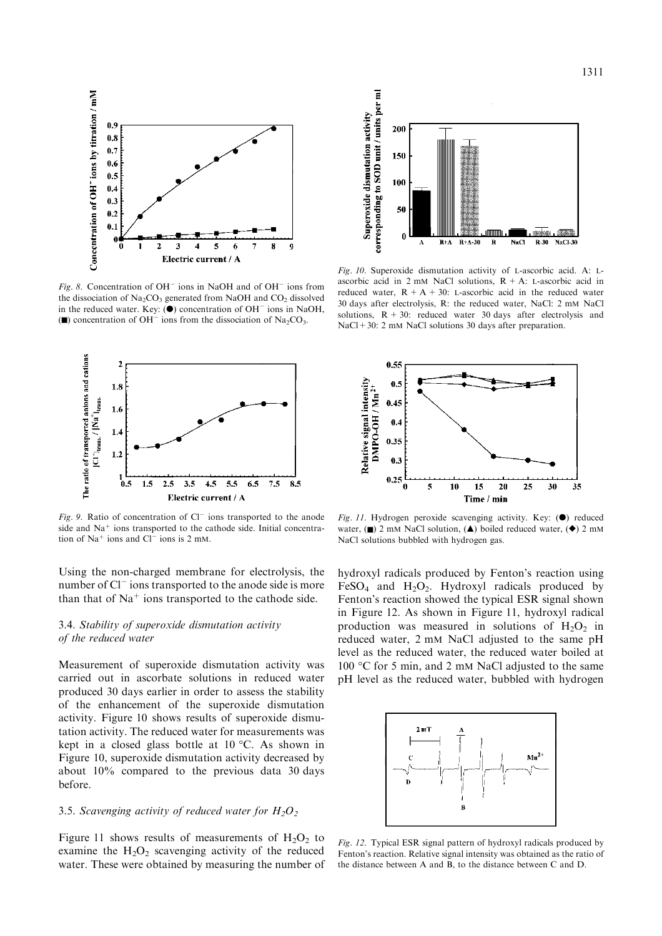

Fig. 8. Concentration of  $OH^-$  ions in NaOH and of  $OH^-$  ions from the dissociation of  $Na<sub>2</sub>CO<sub>3</sub>$  generated from NaOH and  $CO<sub>2</sub>$  dissolved in the reduced water. Key:  $(\bullet)$  concentration of OH<sup>-</sup> ions in NaOH, ( $\blacksquare$ ) concentration of OH<sup>-</sup> ions from the dissociation of Na<sub>2</sub>CO<sub>3</sub>.



Fig. 9. Ratio of concentration of  $Cl^-$  ions transported to the anode side and  $Na<sup>+</sup>$  ions transported to the cathode side. Initial concentration of  $Na<sup>+</sup>$  ions and  $Cl<sup>-</sup>$  ions is 2 mM.

Using the non-charged membrane for electrolysis, the number of Cl<sup>-</sup> ions transported to the anode side is more than that of  $Na<sup>+</sup>$  ions transported to the cathode side.

# 3.4. Stability of superoxide dismutation activity of the reduced water

Measurement of superoxide dismutation activity was carried out in ascorbate solutions in reduced water produced 30 days earlier in order to assess the stability of the enhancement of the superoxide dismutation activity. Figure 10 shows results of superoxide dismutation activity. The reduced water for measurements was kept in a closed glass bottle at  $10^{\circ}$ C. As shown in Figure 10, superoxide dismutation activity decreased by about 10% compared to the previous data 30 days before.

### 3.5. Scavenging activity of reduced water for  $H_2O_2$

Figure 11 shows results of measurements of  $H_2O_2$  to examine the  $H_2O_2$  scavenging activity of the reduced water. These were obtained by measuring the number of



Fig. 10. Superoxide dismutation activity of L-ascorbic acid. A: Lascorbic acid in 2 mM NaCl solutions,  $R + A$ : L-ascorbic acid in reduced water,  $R + A + 30$ : L-ascorbic acid in the reduced water 30 days after electrolysis, R: the reduced water, NaCl: 2 mM NaCl solutions,  $R + 30$ : reduced water 30 days after electrolysis and NaCl + 30: 2 mM NaCl solutions 30 days after preparation.



Fig. 11. Hydrogen peroxide scavenging activity. Key:  $(\bullet)$  reduced water, (n) 2 mM NaCl solution, ( $\triangle$ ) boiled reduced water, ( $\blacklozenge$ ) 2 mM NaCl solutions bubbled with hydrogen gas.

hydroxyl radicals produced by Fenton's reaction using FeSO<sub>4</sub> and H<sub>2</sub>O<sub>2</sub>. Hydroxyl radicals produced by Fenton's reaction showed the typical ESR signal shown in Figure 12. As shown in Figure 11, hydroxyl radical production was measured in solutions of  $H_2O_2$  in reduced water, 2 mM NaCl adjusted to the same pH level as the reduced water, the reduced water boiled at 100 °C for 5 min, and 2 mM NaCl adjusted to the same pH level as the reduced water, bubbled with hydrogen



Fig. 12. Typical ESR signal pattern of hydroxyl radicals produced by Fenton's reaction. Relative signal intensity was obtained as the ratio of the distance between A and B, to the distance between C and D.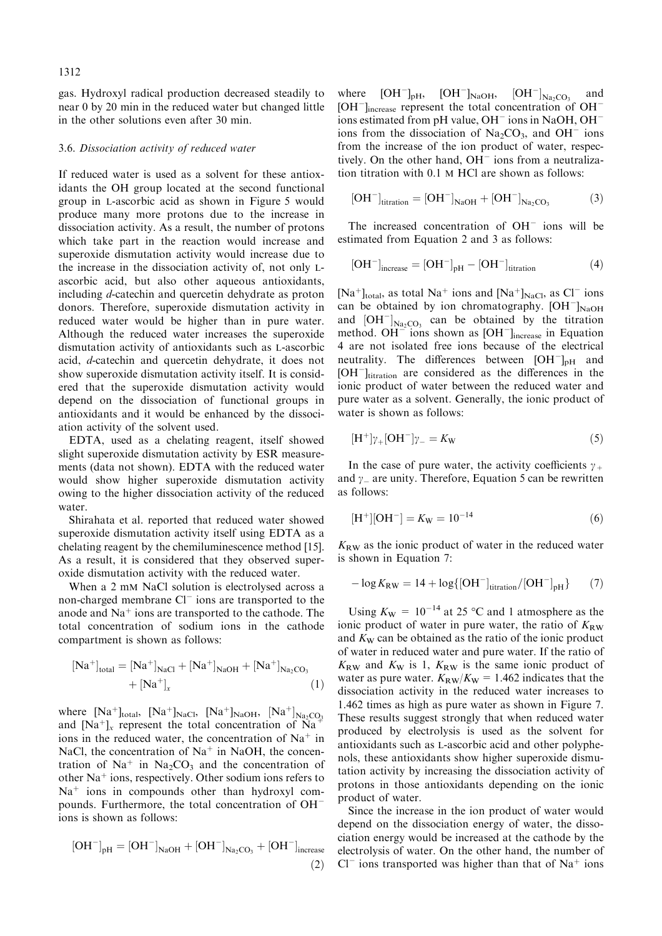gas. Hydroxyl radical production decreased steadily to near 0 by 20 min in the reduced water but changed little in the other solutions even after 30 min.

#### 3.6. Dissociation activity of reduced water

If reduced water is used as a solvent for these antioxidants the OH group located at the second functional group in L-ascorbic acid as shown in Figure 5 would produce many more protons due to the increase in dissociation activity. As a result, the number of protons which take part in the reaction would increase and superoxide dismutation activity would increase due to the increase in the dissociation activity of, not only Lascorbic acid, but also other aqueous antioxidants, including d-catechin and quercetin dehydrate as proton donors. Therefore, superoxide dismutation activity in reduced water would be higher than in pure water. Although the reduced water increases the superoxide dismutation activity of antioxidants such as L-ascorbic acid, d-catechin and quercetin dehydrate, it does not show superoxide dismutation activity itself. It is considered that the superoxide dismutation activity would depend on the dissociation of functional groups in antioxidants and it would be enhanced by the dissociation activity of the solvent used.

EDTA, used as a chelating reagent, itself showed slight superoxide dismutation activity by ESR measurements (data not shown). EDTA with the reduced water would show higher superoxide dismutation activity owing to the higher dissociation activity of the reduced water.

Shirahata et al. reported that reduced water showed superoxide dismutation activity itself using EDTA as a chelating reagent by the chemiluminescence method [15]. As a result, it is considered that they observed superoxide dismutation activity with the reduced water.

When a 2 mM NaCl solution is electrolysed across a non-charged membrane  $Cl^-$  ions are transported to the anode and  $Na<sup>+</sup>$  ions are transported to the cathode. The total concentration of sodium ions in the cathode compartment is shown as follows:

$$
[Na^{+}]_{total} = [Na^{+}]_{NaCl} + [Na^{+}]_{NaOH} + [Na^{+}]_{Na_{2}CO_{3}} + [Na^{+}]_{x}
$$
 (1)

where  $[Na^+]_{total}$ ,  $[Na^+]_{NaCl}$ ,  $[Na^+]_{NaOH}$ ,  $[Na^+]_{Na_2CO_3}$ and  $[Na^+]$ <sub>x</sub> represent the total concentration of  $Na^+$ ions in the reduced water, the concentration of  $Na<sup>+</sup>$  in NaCl, the concentration of  $Na<sup>+</sup>$  in NaOH, the concentration of Na<sup>+</sup> in Na<sub>2</sub>CO<sub>3</sub> and the concentration of other  $Na<sup>+</sup>$  ions, respectively. Other sodium ions refers to  $Na<sup>+</sup>$  ions in compounds other than hydroxyl compounds. Furthermore, the total concentration of OH ions is shown as follows:

$$
[OH^-]_{pH} = [OH^-]_{NaOH} + [OH^-]_{Na_2CO_3} + [OH^-]_{increase}
$$
\n(2)

where  $[OH^-]_{\text{pH}}$ ,  $[OH^-]_{\text{NaOH}}$ ,  $[OH^-]_{\text{Na}_2\text{CO}_3}$  and  $[OH^-]_{\text{increase}}$  represent the total concentration of  $OH^$ ions estimated from pH value,  $OH^-$  ions in NaOH,  $OH^$ ions from the dissociation of  $Na<sub>2</sub>CO<sub>3</sub>$ , and  $OH^-$  ions from the increase of the ion product of water, respectively. On the other hand,  $OH^-$  ions from a neutralization titration with 0.1 M HCl are shown as follows:

$$
[OH^-]_{titration} = [OH^-]_{NaOH} + [OH^-]_{Na_2CO_3} \tag{3}
$$

The increased concentration of  $OH^-$  ions will be estimated from Equation 2 and 3 as follows:

$$
[OH^-]_{\text{increase}} = [OH^-]_{\text{pH}} - [OH^-]_{\text{titration}}
$$
 (4)

 $[Na^+]_{total}$ , as total Na<sup>+</sup> ions and  $[Na^+]_{NaCl}$ , as Cl<sup>-</sup> ions can be obtained by ion chromatography.  $[OH^-]_{NaOH}$ and  $[OH^-]_{Na_2CO_3}$  can be obtained by the titration method.  $OH^-$  ions shown as  $[OH^-]_{increase}$  in Equation 4 are not isolated free ions because of the electrical neutrality. The differences between  $[OH^-]_{pH}$  and  $[OH^-]_{titration}$  are considered as the differences in the ionic product of water between the reduced water and pure water as a solvent. Generally, the ionic product of water is shown as follows:

$$
[\mathrm{H}^+] \gamma_+ [\mathrm{OH}^-] \gamma_- = K_{\mathrm{W}} \tag{5}
$$

In the case of pure water, the activity coefficients  $\gamma_+$ and  $\gamma$  are unity. Therefore, Equation 5 can be rewritten as follows:

$$
[\mathrm{H}^+][\mathrm{OH}^-] = K_{\mathrm{W}} = 10^{-14} \tag{6}
$$

 $K_{\rm RW}$  as the ionic product of water in the reduced water is shown in Equation 7:

$$
-\log K_{\rm RW} = 14 + \log\{[\rm OH^{-}]_{\rm titration}/[\rm OH^{-}]_{\rm pH}\}\qquad(7)
$$

Using  $K_{\text{W}} = 10^{-14}$  at 25 °C and 1 atmosphere as the ionic product of water in pure water, the ratio of  $K_{\text{RW}}$ and  $K_W$  can be obtained as the ratio of the ionic product of water in reduced water and pure water. If the ratio of  $K_{\rm RW}$  and  $K_{\rm W}$  is 1,  $K_{\rm RW}$  is the same ionic product of water as pure water.  $K_{\text{RW}}/K_{\text{W}} = 1.462$  indicates that the dissociation activity in the reduced water increases to 1.462 times as high as pure water as shown in Figure 7. These results suggest strongly that when reduced water produced by electrolysis is used as the solvent for antioxidants such as L-ascorbic acid and other polyphenols, these antioxidants show higher superoxide dismutation activity by increasing the dissociation activity of protons in those antioxidants depending on the ionic product of water.

Since the increase in the ion product of water would depend on the dissociation energy of water, the dissociation energy would be increased at the cathode by the electrolysis of water. On the other hand, the number of  $Cl^-$  ions transported was higher than that of Na<sup>+</sup> ions